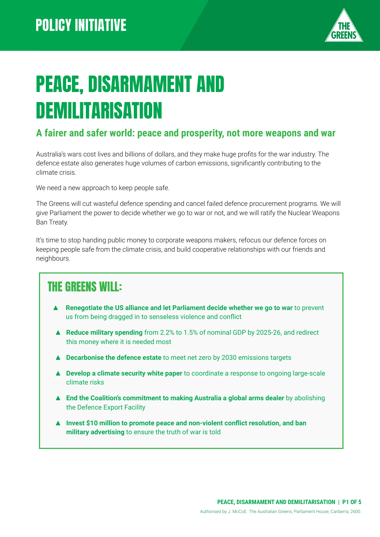

# PEACE, DISARMAMENT AND **DEMILITARISATION**

#### **A fairer and safer world: peace and prosperity, not more weapons and war**

Australia's wars cost lives and billions of dollars, and they make huge profits for the war industry. The defence estate also generates huge volumes of carbon emissions, significantly contributing to the climate crisis.

We need a new approach to keep people safe.

The Greens will cut wasteful defence spending and cancel failed defence procurement programs. We will give Parliament the power to decide whether we go to war or not, and we will ratify the Nuclear Weapons Ban Treaty.

It's time to stop handing public money to corporate weapons makers, refocus our defence forces on keeping people safe from the climate crisis, and build cooperative relationships with our friends and neighbours.

## THE GREENS WILL:

- ▲ **Renegotiate the US alliance and let Parliament decide whether we go to war** to prevent us from being dragged in to senseless violence and conflict
- ▲ **Reduce military spending** from 2.2% to 1.5% of nominal GDP by 2025-26, and redirect this money where it is needed most
- ▲ **Decarbonise the defence estate** to meet net zero by 2030 emissions targets
- **▲ Develop a climate security white paper** to coordinate a response to ongoing large-scale climate risks
- ▲ **End the Coalition's commitment to making Australia a global arms dealer** by abolishing the Defence Export Facility
- ▲ **Invest \$10 million to promote peace and non-violent conflict resolution, and ban military advertising** to ensure the truth of war is told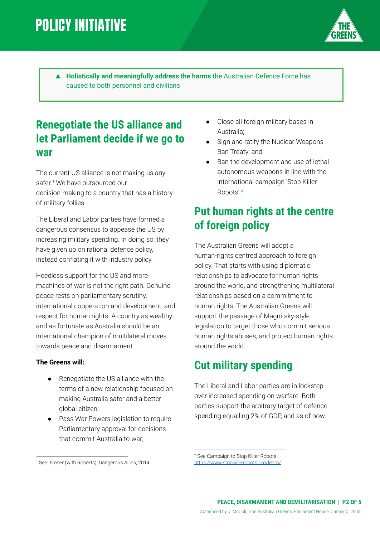## **POLICY INITIATIVE**



▲ **Holistically and meaningfully address the harms** the Australian Defence Force has caused to both personnel and civilians

### **Renegotiate the US alliance and let Parliament decide if we go to war**

The current US alliance is not making us any safer.<sup>1</sup> We have outsourced our decision-making to a country that has a history of military follies.

The Liberal and Labor parties have formed a dangerous consensus to appease the US by increasing military spending. In doing so, they have given up on rational defence policy, instead conflating it with industry policy.

Heedless support for the US and more machines of war is not the right path. Genuine peace rests on parliamentary scrutiny, international cooperation and development, and respect for human rights. A country as wealthy and as fortunate as Australia should be an international champion of multilateral moves towards peace and disarmament.

#### **The Greens will:**

- Renegotiate the US alliance with the terms of a new relationship focused on making Australia safer and a better global citizen;
- Pass War Powers legislation to require Parliamentary approval for decisions that commit Australia to war;
- Close all foreign military bases in Australia;
- Sign and ratify the Nuclear Weapons Ban Treaty; and
- Ban the development and use of lethal autonomous weapons in line with the international campaign 'Stop Killer Robots'.<sup>2</sup>

## **Put human rights at the centre of foreign policy**

The Australian Greens will adopt a human-rights centred approach to foreign policy. That starts with using diplomatic relationships to advocate for human rights around the world, and strengthening multilateral relationships based on a commitment to human rights. The Australian Greens will support the passage of Magnitsky-style legislation to target those who commit serious human rights abuses, and protect human rights around the world.

#### **Cut military spending**

The Liberal and Labor parties are in lockstep over increased spending on warfare. Both parties support the arbitrary target of defence spending equalling 2% of GDP, and as of now

<sup>2</sup> See Campaign to Stop Killer Robots

<https://www.stopkillerrobots.org/learn/>

<sup>&</sup>lt;sup>1</sup> See: Fraser (with Roberts), Dangerous Allies, 2014.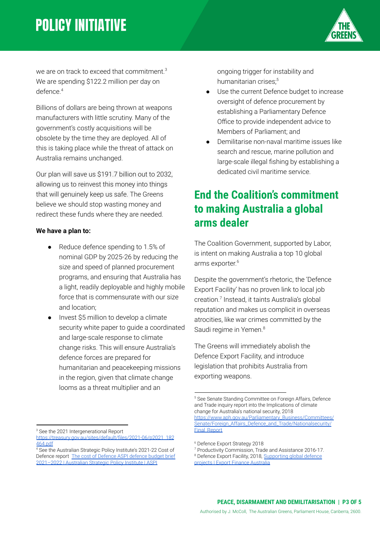## **POLICY INITIATIVE**



we are on track to exceed that commitment.<sup>3</sup> We are spending \$122.2 million per day on defence.<sup>4</sup>

Billions of dollars are being thrown at weapons manufacturers with little scrutiny. Many of the government's costly acquisitions will be obsolete by the time they are deployed. All of this is taking place while the threat of attack on Australia remains unchanged.

Our plan will save us \$191.7 billion out to 2032, allowing us to reinvest this money into things that will genuinely keep us safe. The Greens believe we should stop wasting money and redirect these funds where they are needed.

#### **We have a plan to:**

- Reduce defence spending to 1.5% of nominal GDP by 2025-26 by reducing the size and speed of planned procurement programs, and ensuring that Australia has a light, readily deployable and highly mobile force that is commensurate with our size and location;
- Invest \$5 million to develop a climate security white paper to guide a coordinated and large-scale response to climate change risks. This will ensure Australia's defence forces are prepared for humanitarian and peacekeeping missions in the region, given that climate change looms as a threat multiplier and an

ongoing trigger for instability and humanitarian crises:<sup>5</sup>

- Use the current Defence budget to increase oversight of defence procurement by establishing a Parliamentary Defence Office to provide independent advice to Members of Parliament; and
- Demilitarise non-naval maritime issues like search and rescue, marine pollution and large-scale illegal fishing by establishing a dedicated civil maritime service.

#### **End the Coalition's commitment to making Australia a global arms dealer**

The Coalition Government, supported by Labor, is intent on making Australia a top 10 global arms exporter. 6

Despite the government's rhetoric, the 'Defence Export Facility' has no proven link to local job creation.<sup>7</sup> Instead, it taints Australia's global reputation and makes us complicit in overseas atrocities, like war crimes committed by the Saudi regime in Yemen.<sup>8</sup>

The Greens will immediately abolish the Defence Export Facility, and introduce legislation that prohibits Australia from exporting weapons.

<sup>3</sup> See the 2021 Intergenerational Report [https://treasury.gov.au/sites/default/files/2021-06/p2021\\_182](https://treasury.gov.au/sites/default/files/2021-06/p2021_182464.pdf)

<sup>5</sup> See Senate Standing Committee on Foreign Affairs, Defence and Trade inquiry report into the Implications of climate change for Australia's national security, 2018 [https://www.aph.gov.au/Parliamentary\\_Business/Committees/](https://www.aph.gov.au/Parliamentary_Business/Committees/Senate/Foreign_Affairs_Defence_and_Trade/Nationalsecurity/Final_Report) [Senate/Foreign\\_Affairs\\_Defence\\_and\\_Trade/Nationalsecurity/](https://www.aph.gov.au/Parliamentary_Business/Committees/Senate/Foreign_Affairs_Defence_and_Trade/Nationalsecurity/Final_Report) [Final\\_Report](https://www.aph.gov.au/Parliamentary_Business/Committees/Senate/Foreign_Affairs_Defence_and_Trade/Nationalsecurity/Final_Report)

[<sup>464.</sup>pdf](https://treasury.gov.au/sites/default/files/2021-06/p2021_182464.pdf)

<sup>4</sup> See the Australian Strategic Policy Institute's 2021-22 Cost of Defence report The cost of [Defence](https://www.aspi.org.au/report/cost-defence-aspi-defence-budget-brief-2021-2022) ASPI defence budget brief [2021–2022](https://www.aspi.org.au/report/cost-defence-aspi-defence-budget-brief-2021-2022) | Australian Strategic Policy Institute | ASPI

<sup>6</sup> Defence Export Strategy 2018

<sup>7</sup> Productivity Commission, Trade and Assistance 2016-17.

<sup>&</sup>lt;sup>8</sup> Defence Export Facility, 2018, [Supporting](https://www.exportfinance.gov.au/what-we-do/project-structured-finance/supporting-global-defence-projects/) global defence projects | Export Finance [Australia](https://www.exportfinance.gov.au/what-we-do/project-structured-finance/supporting-global-defence-projects/)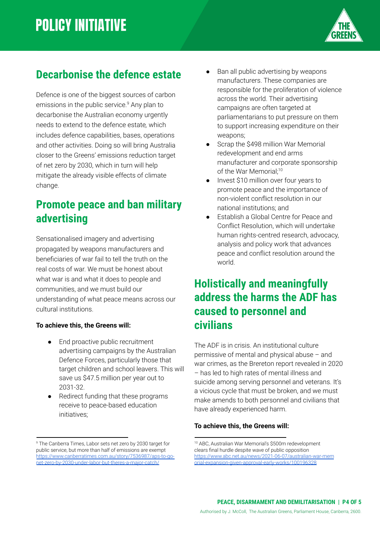

## **Decarbonise the defence estate**

Defence is one of the biggest sources of carbon emissions in the public service.<sup>9</sup> Any plan to decarbonise the Australian economy urgently needs to extend to the defence estate*,* which includes defence capabilities, bases, operations and other activities. Doing so will bring Australia closer to the Greens' emissions reduction target of net zero by 2030, which in turn will help mitigate the already visible effects of climate change.

### **Promote peace and ban military advertising**

Sensationalised imagery and advertising propagated by weapons manufacturers and beneficiaries of war fail to tell the truth on the real costs of war. We must be honest about what war is and what it does to people and communities, and we must build our understanding of what peace means across our cultural institutions.

#### **To achieve this, the Greens will:**

- End proactive public recruitment advertising campaigns by the Australian Defence Forces, particularly those that target children and school leavers. This will save us \$47.5 million per year out to 2031-32.
- Redirect funding that these programs receive to peace-based education initiatives;
- Ban all public advertising by weapons manufacturers. These companies are responsible for the proliferation of violence across the world. Their advertising campaigns are often targeted at parliamentarians to put pressure on them to support increasing expenditure on their weapons;
- Scrap the \$498 million War Memorial redevelopment and end arms manufacturer and corporate sponsorship of the War Memorial:<sup>10</sup>
- Invest \$10 million over four years to promote peace and the importance of non-violent conflict resolution in our national institutions; and
- Establish a Global Centre for Peace and Conflict Resolution, which will undertake human rights-centred research, advocacy, analysis and policy work that advances peace and conflict resolution around the world.

#### **Holistically and meaningfully address the harms the ADF has caused to personnel and civilians**

The ADF is in crisis. An institutional culture permissive of mental and physical abuse – and war crimes, as the Brereton report revealed in 2020 – has led to high rates of mental illness and suicide among serving personnel and veterans. It's a vicious cycle that must be broken, and we must make amends to both personnel and civilians that have already experienced harm.

#### **To achieve this, the Greens will:**

<sup>&</sup>lt;sup>9</sup> The Canberra Times, Labor sets net zero by 2030 target for public service, but more than half of emissions are exempt [https://www.canberratimes.com.au/story/7536987/aps-to-go](https://www.canberratimes.com.au/story/7536987/aps-to-go-net-zero-by-2030-under-labor-but-theres-a-major-catch/)[net-zero-by-2030-under-labor-but-theres-a-major-catch/](https://www.canberratimes.com.au/story/7536987/aps-to-go-net-zero-by-2030-under-labor-but-theres-a-major-catch/)

<sup>10</sup> ABC, Australian War Memorial's \$500m redevelopment clears final hurdle despite wave of public opposition [https://www.abc.net.au/news/2021-06-07/australian-war-mem](https://www.abc.net.au/news/2021-06-07/australian-war-memorial-expansion-given-approval-early-works/100196328) [orial-expansion-given-approval-early-works/100196328](https://www.abc.net.au/news/2021-06-07/australian-war-memorial-expansion-given-approval-early-works/100196328)